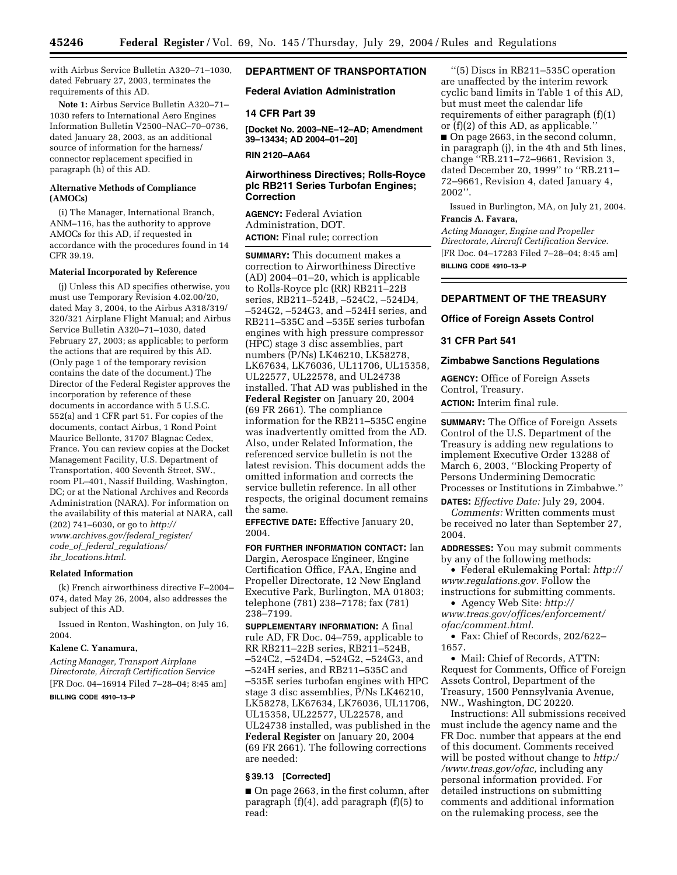with Airbus Service Bulletin A320–71–1030, dated February 27, 2003, terminates the requirements of this AD.

**Note 1:** Airbus Service Bulletin A320–71– 1030 refers to International Aero Engines Information Bulletin V2500–NAC–70–0736, dated January 28, 2003, as an additional source of information for the harness/ connector replacement specified in paragraph (h) of this AD.

### **Alternative Methods of Compliance (AMOCs)**

(i) The Manager, International Branch, ANM–116, has the authority to approve AMOCs for this AD, if requested in accordance with the procedures found in 14 CFR 39.19.

#### **Material Incorporated by Reference**

(j) Unless this AD specifies otherwise, you must use Temporary Revision 4.02.00/20, dated May 3, 2004, to the Airbus A318/319/ 320/321 Airplane Flight Manual; and Airbus Service Bulletin A320–71–1030, dated February 27, 2003; as applicable; to perform the actions that are required by this AD. (Only page 1 of the temporary revision contains the date of the document.) The Director of the Federal Register approves the incorporation by reference of these documents in accordance with 5 U.S.C. 552(a) and 1 CFR part 51. For copies of the documents, contact Airbus, 1 Rond Point Maurice Bellonte, 31707 Blagnac Cedex, France. You can review copies at the Docket Management Facility, U.S. Department of Transportation, 400 Seventh Street, SW., room PL–401, Nassif Building, Washington, DC; or at the National Archives and Records Administration (NARA). For information on the availability of this material at NARA, call (202) 741–6030, or go to *http:// www.archives.gov/federal*\_*register/ code*\_*of*\_*federal*\_*regulations/ ibr*\_*locations.html*.

#### **Related Information**

(k) French airworthiness directive F–2004– 074, dated May 26, 2004, also addresses the subject of this AD.

Issued in Renton, Washington, on July 16, 2004.

#### **Kalene C. Yanamura,**

*Acting Manager, Transport Airplane Directorate, Aircraft Certification Service* [FR Doc. 04–16914 Filed 7–28–04; 8:45 am]

**BILLING CODE 4910–13–P**

## **DEPARTMENT OF TRANSPORTATION**

#### **Federal Aviation Administration**

#### **14 CFR Part 39**

**[Docket No. 2003–NE–12–AD; Amendment 39–13434; AD 2004–01–20]** 

**RIN 2120–AA64**

# **Airworthiness Directives; Rolls-Royce plc RB211 Series Turbofan Engines; Correction**

**AGENCY:** Federal Aviation Administration, DOT. **ACTION:** Final rule; correction

**SUMMARY:** This document makes a correction to Airworthiness Directive (AD) 2004–01–20, which is applicable to Rolls-Royce plc (RR) RB211–22B series, RB211–524B, –524C2, –524D4, –524G2, –524G3, and –524H series, and RB211–535C and –535E series turbofan engines with high pressure compressor (HPC) stage 3 disc assemblies, part numbers (P/Ns) LK46210, LK58278, LK67634, LK76036, UL11706, UL15358, UL22577, UL22578, and UL24738 installed. That AD was published in the **Federal Register** on January 20, 2004 (69 FR 2661). The compliance information for the RB211–535C engine was inadvertently omitted from the AD. Also, under Related Information, the referenced service bulletin is not the latest revision. This document adds the omitted information and corrects the service bulletin reference. In all other respects, the original document remains the same.

**EFFECTIVE DATE:** Effective January 20, 2004.

**FOR FURTHER INFORMATION CONTACT:** Ian Dargin, Aerospace Engineer, Engine Certification Office, FAA, Engine and Propeller Directorate, 12 New England Executive Park, Burlington, MA 01803; telephone (781) 238–7178; fax (781) 238–7199.

**SUPPLEMENTARY INFORMATION:** A final rule AD, FR Doc. 04–759, applicable to RR RB211–22B series, RB211–524B, –524C2, –524D4, –524G2, –524G3, and –524H series, and RB211–535C and –535E series turbofan engines with HPC stage 3 disc assemblies, P/Ns LK46210, LK58278, LK67634, LK76036, UL11706, UL15358, UL22577, UL22578, and UL24738 installed, was published in the **Federal Register** on January 20, 2004 (69 FR 2661). The following corrections are needed:

### **§ 39.13 [Corrected]**

■ On page 2663, in the first column, after paragraph (f)(4), add paragraph (f)(5) to read:

''(5) Discs in RB211–535C operation are unaffected by the interim rework cyclic band limits in Table 1 of this AD, but must meet the calendar life requirements of either paragraph (f)(1) or (f)(2) of this AD, as applicable.'' ■ On page 2663, in the second column, in paragraph (j), in the 4th and 5th lines, change ''RB.211–72–9661, Revision 3, dated December 20, 1999'' to ''RB.211– 72–9661, Revision 4, dated January 4, 2002''.

Issued in Burlington, MA, on July 21, 2004. **Francis A. Favara,** 

*Acting Manager, Engine and Propeller Directorate, Aircraft Certification Service.* [FR Doc. 04–17283 Filed 7–28–04; 8:45 am] **BILLING CODE 4910–13–P**

## **DEPARTMENT OF THE TREASURY**

### **Office of Foreign Assets Control**

## **31 CFR Part 541**

#### **Zimbabwe Sanctions Regulations**

**AGENCY:** Office of Foreign Assets Control, Treasury. **ACTION:** Interim final rule.

**SUMMARY:** The Office of Foreign Assets Control of the U.S. Department of the Treasury is adding new regulations to implement Executive Order 13288 of March 6, 2003, ''Blocking Property of Persons Undermining Democratic Processes or Institutions in Zimbabwe.''

**DATES:** *Effective Date:* July 29, 2004.

*Comments:* Written comments must be received no later than September 27, 2004.

**ADDRESSES:** You may submit comments by any of the following methods:

• Federal eRulemaking Portal: *http:// www.regulations.gov.* Follow the

instructions for submitting comments. • Agency Web Site: *http://*

*www.treas.gov/offices/enforcement/ ofac/comment.html.*

• Fax: Chief of Records, 202/622– 1657.

• Mail: Chief of Records, ATTN: Request for Comments, Office of Foreign Assets Control, Department of the Treasury, 1500 Pennsylvania Avenue, NW., Washington, DC 20220.

Instructions: All submissions received must include the agency name and the FR Doc. number that appears at the end of this document. Comments received will be posted without change to *http:/ /www.treas.gov/ofac,* including any personal information provided. For detailed instructions on submitting comments and additional information on the rulemaking process, see the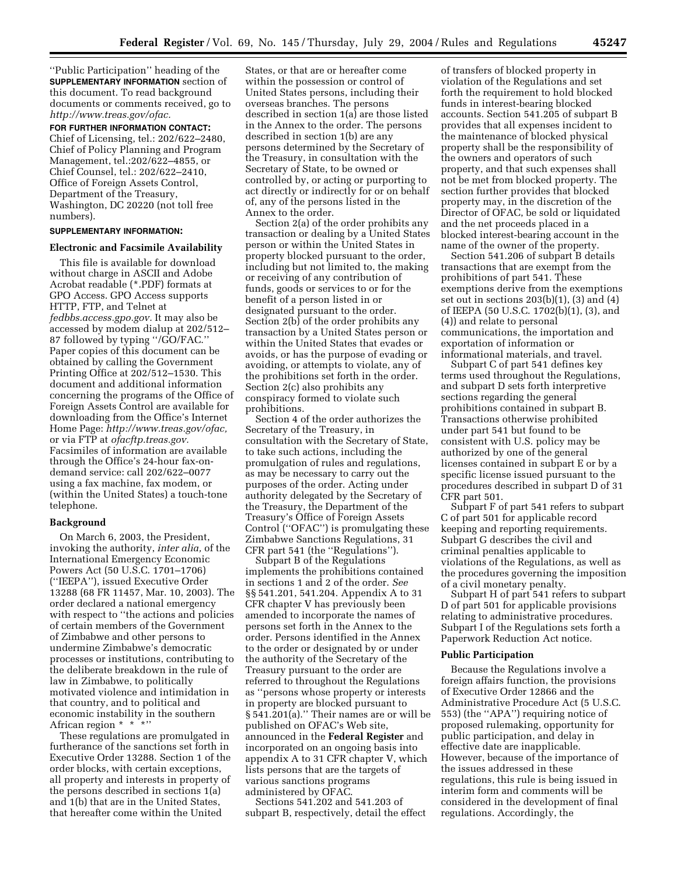''Public Participation'' heading of the **SUPPLEMENTARY INFORMATION** section of this document. To read background documents or comments received, go to *http://www.treas.gov/ofac.*

## **FOR FURTHER INFORMATION CONTACT:**

Chief of Licensing, tel.: 202/622–2480, Chief of Policy Planning and Program Management, tel.:202/622–4855, or Chief Counsel, tel.: 202/622–2410, Office of Foreign Assets Control, Department of the Treasury, Washington, DC 20220 (not toll free numbers).

## **SUPPLEMENTARY INFORMATION:**

#### **Electronic and Facsimile Availability**

This file is available for download without charge in ASCII and Adobe Acrobat readable (\*.PDF) formats at GPO Access. GPO Access supports HTTP, FTP, and Telnet at *fedbbs.access.gpo.gov.* It may also be accessed by modem dialup at 202/512– 87 followed by typing ''/GO/FAC.'' Paper copies of this document can be obtained by calling the Government Printing Office at 202/512–1530. This document and additional information concerning the programs of the Office of Foreign Assets Control are available for downloading from the Office's Internet Home Page: *http://www.treas.gov/ofac,* or via FTP at *ofacftp.treas.gov.* Facsimiles of information are available through the Office's 24-hour fax-ondemand service: call 202/622–0077 using a fax machine, fax modem, or (within the United States) a touch-tone telephone.

## **Background**

On March 6, 2003, the President, invoking the authority, *inter alia,* of the International Emergency Economic Powers Act (50 U.S.C. 1701–1706) (''IEEPA''), issued Executive Order 13288 (68 FR 11457, Mar. 10, 2003). The order declared a national emergency with respect to "the actions and policies of certain members of the Government of Zimbabwe and other persons to undermine Zimbabwe's democratic processes or institutions, contributing to the deliberate breakdown in the rule of law in Zimbabwe, to politically motivated violence and intimidation in that country, and to political and economic instability in the southern African region \* \* \*''

These regulations are promulgated in furtherance of the sanctions set forth in Executive Order 13288. Section 1 of the order blocks, with certain exceptions, all property and interests in property of the persons described in sections 1(a) and 1(b) that are in the United States, that hereafter come within the United

States, or that are or hereafter come within the possession or control of United States persons, including their overseas branches. The persons described in section 1(a) are those listed in the Annex to the order. The persons described in section 1(b) are any persons determined by the Secretary of the Treasury, in consultation with the Secretary of State, to be owned or controlled by, or acting or purporting to act directly or indirectly for or on behalf of, any of the persons listed in the Annex to the order.

Section 2(a) of the order prohibits any transaction or dealing by a United States person or within the United States in property blocked pursuant to the order, including but not limited to, the making or receiving of any contribution of funds, goods or services to or for the benefit of a person listed in or designated pursuant to the order. Section 2(b) of the order prohibits any transaction by a United States person or within the United States that evades or avoids, or has the purpose of evading or avoiding, or attempts to violate, any of the prohibitions set forth in the order. Section 2(c) also prohibits any conspiracy formed to violate such prohibitions.

Section 4 of the order authorizes the Secretary of the Treasury, in consultation with the Secretary of State, to take such actions, including the promulgation of rules and regulations, as may be necessary to carry out the purposes of the order. Acting under authority delegated by the Secretary of the Treasury, the Department of the Treasury's Office of Foreign Assets Control (''OFAC'') is promulgating these Zimbabwe Sanctions Regulations, 31 CFR part 541 (the ''Regulations'').

Subpart B of the Regulations implements the prohibitions contained in sections 1 and 2 of the order. *See* §§ 541.201, 541.204. Appendix A to 31 CFR chapter V has previously been amended to incorporate the names of persons set forth in the Annex to the order. Persons identified in the Annex to the order or designated by or under the authority of the Secretary of the Treasury pursuant to the order are referred to throughout the Regulations as ''persons whose property or interests in property are blocked pursuant to § 541.201(a).'' Their names are or will be published on OFAC's Web site, announced in the **Federal Register** and incorporated on an ongoing basis into appendix A to 31 CFR chapter V, which lists persons that are the targets of various sanctions programs administered by OFAC.

Sections 541.202 and 541.203 of subpart B, respectively, detail the effect

of transfers of blocked property in violation of the Regulations and set forth the requirement to hold blocked funds in interest-bearing blocked accounts. Section 541.205 of subpart B provides that all expenses incident to the maintenance of blocked physical property shall be the responsibility of the owners and operators of such property, and that such expenses shall not be met from blocked property. The section further provides that blocked property may, in the discretion of the Director of OFAC, be sold or liquidated and the net proceeds placed in a blocked interest-bearing account in the name of the owner of the property.

Section 541.206 of subpart B details transactions that are exempt from the prohibitions of part 541. These exemptions derive from the exemptions set out in sections  $203(b)(1)$ ,  $(3)$  and  $(4)$ of IEEPA (50 U.S.C. 1702(b)(1), (3), and (4)) and relate to personal communications, the importation and exportation of information or informational materials, and travel.

Subpart C of part 541 defines key terms used throughout the Regulations, and subpart D sets forth interpretive sections regarding the general prohibitions contained in subpart B. Transactions otherwise prohibited under part 541 but found to be consistent with U.S. policy may be authorized by one of the general licenses contained in subpart E or by a specific license issued pursuant to the procedures described in subpart D of 31 CFR part 501.

Subpart F of part 541 refers to subpart C of part 501 for applicable record keeping and reporting requirements. Subpart G describes the civil and criminal penalties applicable to violations of the Regulations, as well as the procedures governing the imposition of a civil monetary penalty.

Subpart H of part 541 refers to subpart D of part 501 for applicable provisions relating to administrative procedures. Subpart I of the Regulations sets forth a Paperwork Reduction Act notice.

#### **Public Participation**

Because the Regulations involve a foreign affairs function, the provisions of Executive Order 12866 and the Administrative Procedure Act (5 U.S.C. 553) (the ''APA'') requiring notice of proposed rulemaking, opportunity for public participation, and delay in effective date are inapplicable. However, because of the importance of the issues addressed in these regulations, this rule is being issued in interim form and comments will be considered in the development of final regulations. Accordingly, the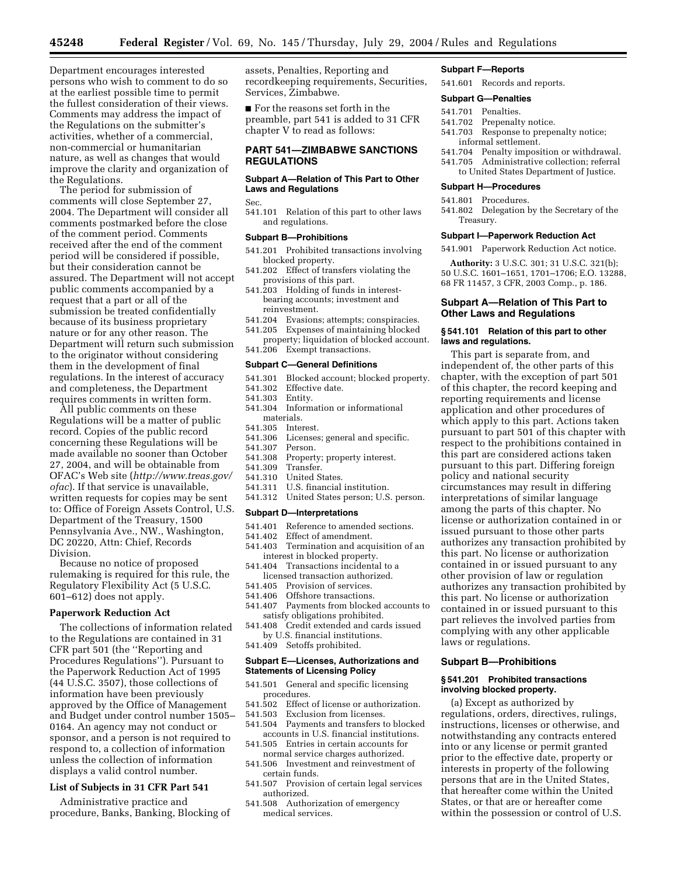Department encourages interested persons who wish to comment to do so at the earliest possible time to permit the fullest consideration of their views. Comments may address the impact of the Regulations on the submitter's activities, whether of a commercial, non-commercial or humanitarian nature, as well as changes that would improve the clarity and organization of the Regulations.

The period for submission of comments will close September 27, 2004. The Department will consider all comments postmarked before the close of the comment period. Comments received after the end of the comment period will be considered if possible, but their consideration cannot be assured. The Department will not accept public comments accompanied by a request that a part or all of the submission be treated confidentially because of its business proprietary nature or for any other reason. The Department will return such submission to the originator without considering them in the development of final regulations. In the interest of accuracy and completeness, the Department requires comments in written form.

All public comments on these Regulations will be a matter of public record. Copies of the public record concerning these Regulations will be made available no sooner than October 27, 2004, and will be obtainable from OFAC's Web site (*http://www.treas.gov/ ofac*). If that service is unavailable, written requests for copies may be sent to: Office of Foreign Assets Control, U.S. Department of the Treasury, 1500 Pennsylvania Ave., NW., Washington, DC 20220, Attn: Chief, Records Division.

Because no notice of proposed rulemaking is required for this rule, the Regulatory Flexibility Act (5 U.S.C. 601–612) does not apply.

#### **Paperwork Reduction Act**

The collections of information related to the Regulations are contained in 31 CFR part 501 (the ''Reporting and Procedures Regulations''). Pursuant to the Paperwork Reduction Act of 1995 (44 U.S.C. 3507), those collections of information have been previously approved by the Office of Management and Budget under control number 1505– 0164. An agency may not conduct or sponsor, and a person is not required to respond to, a collection of information unless the collection of information displays a valid control number.

## **List of Subjects in 31 CFR Part 541**

Administrative practice and procedure, Banks, Banking, Blocking of

assets, Penalties, Reporting and recordkeeping requirements, Securities, Services, Zimbabwe.

■ For the reasons set forth in the preamble, part 541 is added to 31 CFR chapter V to read as follows:

## **PART 541—ZIMBABWE SANCTIONS REGULATIONS**

## **Subpart A—Relation of This Part to Other Laws and Regulations**

Sec.

541.101 Relation of this part to other laws and regulations.

# **Subpart B—Prohibitions**

- 541.201 Prohibited transactions involving blocked property.
- 541.202 Effect of transfers violating the provisions of this part.
- 541.203 Holding of funds in interestbearing accounts; investment and reinvestment.
- 541.204 Evasions; attempts; conspiracies.
- 541.205 Expenses of maintaining blocked property; liquidation of blocked account.
- 541.206 Exempt transactions.

# **Subpart C—General Definitions**

- 541.301 Blocked account; blocked property.<br>541.302 Effective date.
- Effective date.
- 541.303 Entity.
- 541.304 Information or informational materials.
- 541.305 Interest.
- Licenses; general and specific.
- 541.307 Person.
- 541.308 Property; property interest.
- 541.309 Transfer. 541.310 United States.
- 541.311 U.S. financial institution.
- 541.312 United States person; U.S. person.

#### **Subpart D—Interpretations**

- 541.401 Reference to amended sections.
- 541.402 Effect of amendment.
- 541.403 Termination and acquisition of an interest in blocked property.
- 541.404 Transactions incidental to a licensed transaction authorized.
- 541.405 Provision of services.
- 541.406 Offshore transactions.
- 541.407 Payments from blocked accounts to satisfy obligations prohibited.
- 541.408 Credit extended and cards issued by U.S. financial institutions.
- 541.409 Setoffs prohibited.

#### **Subpart E—Licenses, Authorizations and Statements of Licensing Policy**

- 541.501 General and specific licensing procedures.
- 541.502 Effect of license or authorization.
- 541.503 Exclusion from licenses.
- 541.504 Payments and transfers to blocked accounts in U.S. financial institutions.
- 541.505 Entries in certain accounts for normal service charges authorized.
- 541.506 Investment and reinvestment of certain funds.
- 541.507 Provision of certain legal services authorized.
- 541.508 Authorization of emergency medical services.

#### **Subpart F—Reports**

541.601 Records and reports.

#### **Subpart G—Penalties**

- 541.701 Penalties.
- 541.702 Prepenalty notice.
- 541.703 Response to prepenalty notice; informal settlement.
- 541.704 Penalty imposition or withdrawal.
- 541.705 Administrative collection; referral to United States Department of Justice.

#### **Subpart H—Procedures**

- 541.801 Procedures.
- 541.802 Delegation by the Secretary of the Treasury.

#### **Subpart I—Paperwork Reduction Act**

541.901 Paperwork Reduction Act notice.

**Authority:** 3 U.S.C. 301; 31 U.S.C. 321(b); 50 U.S.C. 1601–1651, 1701–1706; E.O. 13288, 68 FR 11457, 3 CFR, 2003 Comp., p. 186.

## **Subpart A—Relation of This Part to Other Laws and Regulations**

#### **§ 541.101 Relation of this part to other laws and regulations.**

This part is separate from, and independent of, the other parts of this chapter, with the exception of part 501 of this chapter, the record keeping and reporting requirements and license application and other procedures of which apply to this part. Actions taken pursuant to part 501 of this chapter with respect to the prohibitions contained in this part are considered actions taken pursuant to this part. Differing foreign policy and national security circumstances may result in differing interpretations of similar language among the parts of this chapter. No license or authorization contained in or issued pursuant to those other parts authorizes any transaction prohibited by this part. No license or authorization contained in or issued pursuant to any other provision of law or regulation authorizes any transaction prohibited by this part. No license or authorization contained in or issued pursuant to this part relieves the involved parties from complying with any other applicable laws or regulations.

## **Subpart B—Prohibitions**

#### **§ 541.201 Prohibited transactions involving blocked property.**

(a) Except as authorized by regulations, orders, directives, rulings, instructions, licenses or otherwise, and notwithstanding any contracts entered into or any license or permit granted prior to the effective date, property or interests in property of the following persons that are in the United States, that hereafter come within the United States, or that are or hereafter come within the possession or control of U.S.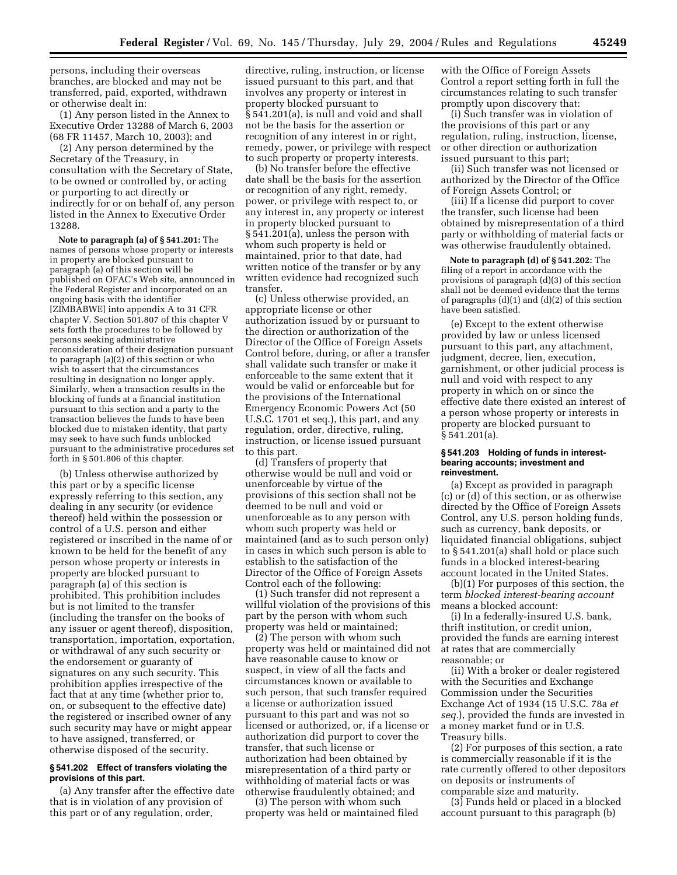persons, including their overseas branches, are blocked and may not be transferred, paid, exported, withdrawn or otherwise dealt in:

(1) Any person listed in the Annex to Executive Order 13288 of March 6, 2003 (68 FR 11457, March 10, 2003); and

(2) Any person determined by the Secretary of the Treasury, in consultation with the Secretary of State, to be owned or controlled by, or acting or purporting to act directly or indirectly for or on behalf of, any person listed in the Annex to Executive Order 13288.

**Note to paragraph (a) of § 541.201:** The names of persons whose property or interests in property are blocked pursuant to paragraph (a) of this section will be published on OFAC's Web site, announced in the Federal Register and incorporated on an ongoing basis with the identifier [ZIMBABWE] into appendix A to 31 CFR chapter V. Section 501.807 of this chapter V sets forth the procedures to be followed by persons seeking administrative reconsideration of their designation pursuant to paragraph (a)(2) of this section or who wish to assert that the circumstances resulting in designation no longer apply. Similarly, when a transaction results in the blocking of funds at a financial institution pursuant to this section and a party to the transaction believes the funds to have been blocked due to mistaken identity, that party may seek to have such funds unblocked pursuant to the administrative procedures set forth in § 501.806 of this chapter.

(b) Unless otherwise authorized by this part or by a specific license expressly referring to this section, any dealing in any security (or evidence thereof) held within the possession or control of a U.S. person and either registered or inscribed in the name of or known to be held for the benefit of any person whose property or interests in property are blocked pursuant to paragraph (a) of this section is prohibited. This prohibition includes but is not limited to the transfer (including the transfer on the books of any issuer or agent thereof), disposition, transportation, importation, exportation, or withdrawal of any such security or the endorsement or guaranty of signatures on any such security. This prohibition applies irrespective of the fact that at any time (whether prior to, on, or subsequent to the effective date) the registered or inscribed owner of any such security may have or might appear to have assigned, transferred, or otherwise disposed of the security.

## **§ 541.202 Effect of transfers violating the provisions of this part.**

(a) Any transfer after the effective date that is in violation of any provision of this part or of any regulation, order,

directive, ruling, instruction, or license issued pursuant to this part, and that involves any property or interest in property blocked pursuant to § 541.201(a), is null and void and shall not be the basis for the assertion or recognition of any interest in or right, remedy, power, or privilege with respect to such property or property interests.

(b) No transfer before the effective date shall be the basis for the assertion or recognition of any right, remedy, power, or privilege with respect to, or any interest in, any property or interest in property blocked pursuant to § 541.201(a), unless the person with whom such property is held or maintained, prior to that date, had written notice of the transfer or by any written evidence had recognized such transfer.

(c) Unless otherwise provided, an appropriate license or other authorization issued by or pursuant to the direction or authorization of the Director of the Office of Foreign Assets Control before, during, or after a transfer shall validate such transfer or make it enforceable to the same extent that it would be valid or enforceable but for the provisions of the International Emergency Economic Powers Act (50 U.S.C. 1701 et seq.), this part, and any regulation, order, directive, ruling, instruction, or license issued pursuant to this part.

(d) Transfers of property that otherwise would be null and void or unenforceable by virtue of the provisions of this section shall not be deemed to be null and void or unenforceable as to any person with whom such property was held or maintained (and as to such person only) in cases in which such person is able to establish to the satisfaction of the Director of the Office of Foreign Assets Control each of the following:

(1) Such transfer did not represent a willful violation of the provisions of this part by the person with whom such property was held or maintained;

(2) The person with whom such property was held or maintained did not have reasonable cause to know or suspect, in view of all the facts and circumstances known or available to such person, that such transfer required a license or authorization issued pursuant to this part and was not so licensed or authorized, or, if a license or authorization did purport to cover the transfer, that such license or authorization had been obtained by misrepresentation of a third party or withholding of material facts or was otherwise fraudulently obtained; and

(3) The person with whom such property was held or maintained filed

with the Office of Foreign Assets Control a report setting forth in full the circumstances relating to such transfer promptly upon discovery that:

(i) Such transfer was in violation of the provisions of this part or any regulation, ruling, instruction, license, or other direction or authorization issued pursuant to this part;

(ii) Such transfer was not licensed or authorized by the Director of the Office of Foreign Assets Control; or

(iii) If a license did purport to cover the transfer, such license had been obtained by misrepresentation of a third party or withholding of material facts or was otherwise fraudulently obtained.

**Note to paragraph (d) of § 541.202:** The filing of a report in accordance with the provisions of paragraph (d)(3) of this section shall not be deemed evidence that the terms of paragraphs  $(d)(1)$  and  $(d)(2)$  of this section have been satisfied.

(e) Except to the extent otherwise provided by law or unless licensed pursuant to this part, any attachment, judgment, decree, lien, execution, garnishment, or other judicial process is null and void with respect to any property in which on or since the effective date there existed an interest of a person whose property or interests in property are blocked pursuant to § 541.201(a).

#### **§ 541.203 Holding of funds in interestbearing accounts; investment and reinvestment.**

(a) Except as provided in paragraph (c) or (d) of this section, or as otherwise directed by the Office of Foreign Assets Control, any U.S. person holding funds, such as currency, bank deposits, or liquidated financial obligations, subject to § 541.201(a) shall hold or place such funds in a blocked interest-bearing account located in the United States.

(b)(1) For purposes of this section, the term *blocked interest-bearing account* means a blocked account:

(i) In a federally-insured U.S. bank, thrift institution, or credit union, provided the funds are earning interest at rates that are commercially reasonable; or

(ii) With a broker or dealer registered with the Securities and Exchange Commission under the Securities Exchange Act of 1934 (15 U.S.C. 78a *et seq.*), provided the funds are invested in a money market fund or in U.S. Treasury bills.

(2) For purposes of this section, a rate is commercially reasonable if it is the rate currently offered to other depositors on deposits or instruments of comparable size and maturity.

(3) Funds held or placed in a blocked account pursuant to this paragraph (b)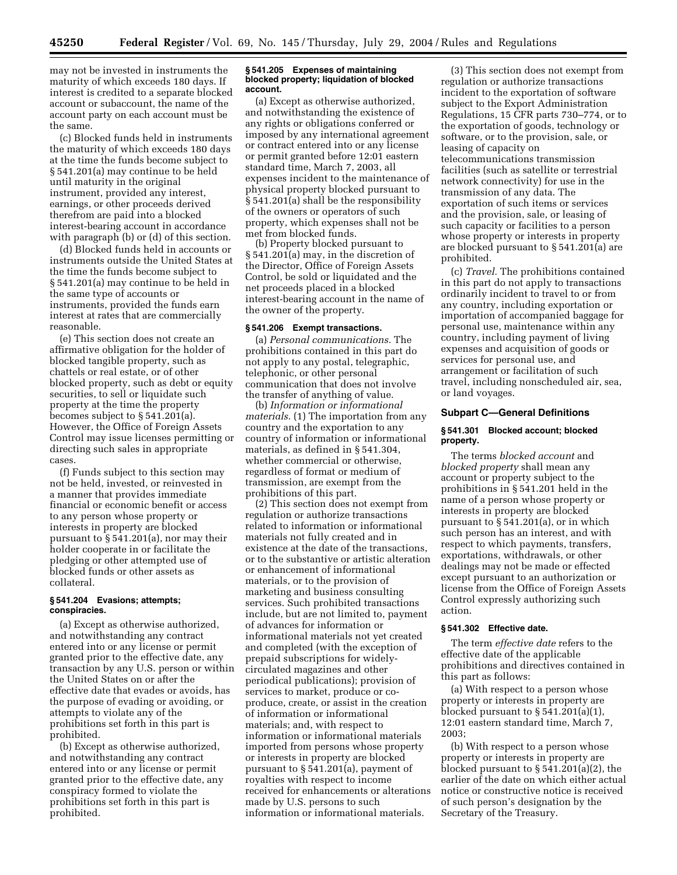may not be invested in instruments the maturity of which exceeds 180 days. If interest is credited to a separate blocked account or subaccount, the name of the account party on each account must be the same.

(c) Blocked funds held in instruments the maturity of which exceeds 180 days at the time the funds become subject to § 541.201(a) may continue to be held until maturity in the original instrument, provided any interest, earnings, or other proceeds derived therefrom are paid into a blocked interest-bearing account in accordance with paragraph (b) or (d) of this section.

(d) Blocked funds held in accounts or instruments outside the United States at the time the funds become subject to § 541.201(a) may continue to be held in the same type of accounts or instruments, provided the funds earn interest at rates that are commercially reasonable.

(e) This section does not create an affirmative obligation for the holder of blocked tangible property, such as chattels or real estate, or of other blocked property, such as debt or equity securities, to sell or liquidate such property at the time the property becomes subject to § 541.201(a). However, the Office of Foreign Assets Control may issue licenses permitting or directing such sales in appropriate cases.

(f) Funds subject to this section may not be held, invested, or reinvested in a manner that provides immediate financial or economic benefit or access to any person whose property or interests in property are blocked pursuant to § 541.201(a), nor may their holder cooperate in or facilitate the pledging or other attempted use of blocked funds or other assets as collateral.

## **§ 541.204 Evasions; attempts; conspiracies.**

(a) Except as otherwise authorized, and notwithstanding any contract entered into or any license or permit granted prior to the effective date, any transaction by any U.S. person or within the United States on or after the effective date that evades or avoids, has the purpose of evading or avoiding, or attempts to violate any of the prohibitions set forth in this part is prohibited.

(b) Except as otherwise authorized, and notwithstanding any contract entered into or any license or permit granted prior to the effective date, any conspiracy formed to violate the prohibitions set forth in this part is prohibited.

#### **§ 541.205 Expenses of maintaining blocked property; liquidation of blocked account.**

(a) Except as otherwise authorized, and notwithstanding the existence of any rights or obligations conferred or imposed by any international agreement or contract entered into or any license or permit granted before 12:01 eastern standard time, March 7, 2003, all expenses incident to the maintenance of physical property blocked pursuant to § 541.201(a) shall be the responsibility of the owners or operators of such property, which expenses shall not be met from blocked funds.

(b) Property blocked pursuant to § 541.201(a) may, in the discretion of the Director, Office of Foreign Assets Control, be sold or liquidated and the net proceeds placed in a blocked interest-bearing account in the name of the owner of the property.

## **§ 541.206 Exempt transactions.**

(a) *Personal communications.* The prohibitions contained in this part do not apply to any postal, telegraphic, telephonic, or other personal communication that does not involve the transfer of anything of value.

(b) *Information or informational materials.* (1) The importation from any country and the exportation to any country of information or informational materials, as defined in § 541.304, whether commercial or otherwise, regardless of format or medium of transmission, are exempt from the prohibitions of this part.

(2) This section does not exempt from regulation or authorize transactions related to information or informational materials not fully created and in existence at the date of the transactions, or to the substantive or artistic alteration or enhancement of informational materials, or to the provision of marketing and business consulting services. Such prohibited transactions include, but are not limited to, payment of advances for information or informational materials not yet created and completed (with the exception of prepaid subscriptions for widelycirculated magazines and other periodical publications); provision of services to market, produce or coproduce, create, or assist in the creation of information or informational materials; and, with respect to information or informational materials imported from persons whose property or interests in property are blocked pursuant to § 541.201(a), payment of royalties with respect to income received for enhancements or alterations made by U.S. persons to such information or informational materials.

(3) This section does not exempt from regulation or authorize transactions incident to the exportation of software subject to the Export Administration Regulations, 15 CFR parts 730–774, or to the exportation of goods, technology or software, or to the provision, sale, or leasing of capacity on telecommunications transmission facilities (such as satellite or terrestrial network connectivity) for use in the transmission of any data. The exportation of such items or services and the provision, sale, or leasing of such capacity or facilities to a person whose property or interests in property are blocked pursuant to § 541.201(a) are prohibited.

(c) *Travel.* The prohibitions contained in this part do not apply to transactions ordinarily incident to travel to or from any country, including exportation or importation of accompanied baggage for personal use, maintenance within any country, including payment of living expenses and acquisition of goods or services for personal use, and arrangement or facilitation of such travel, including nonscheduled air, sea, or land voyages.

### **Subpart C—General Definitions**

## **§ 541.301 Blocked account; blocked property.**

The terms *blocked account* and *blocked property* shall mean any account or property subject to the prohibitions in § 541.201 held in the name of a person whose property or interests in property are blocked pursuant to § 541.201(a), or in which such person has an interest, and with respect to which payments, transfers, exportations, withdrawals, or other dealings may not be made or effected except pursuant to an authorization or license from the Office of Foreign Assets Control expressly authorizing such action.

### **§ 541.302 Effective date.**

The term *effective date* refers to the effective date of the applicable prohibitions and directives contained in this part as follows:

(a) With respect to a person whose property or interests in property are blocked pursuant to  $\S 541.201(a)(1)$ , 12:01 eastern standard time, March 7, 2003;

(b) With respect to a person whose property or interests in property are blocked pursuant to § 541.201(a)(2), the earlier of the date on which either actual notice or constructive notice is received of such person's designation by the Secretary of the Treasury.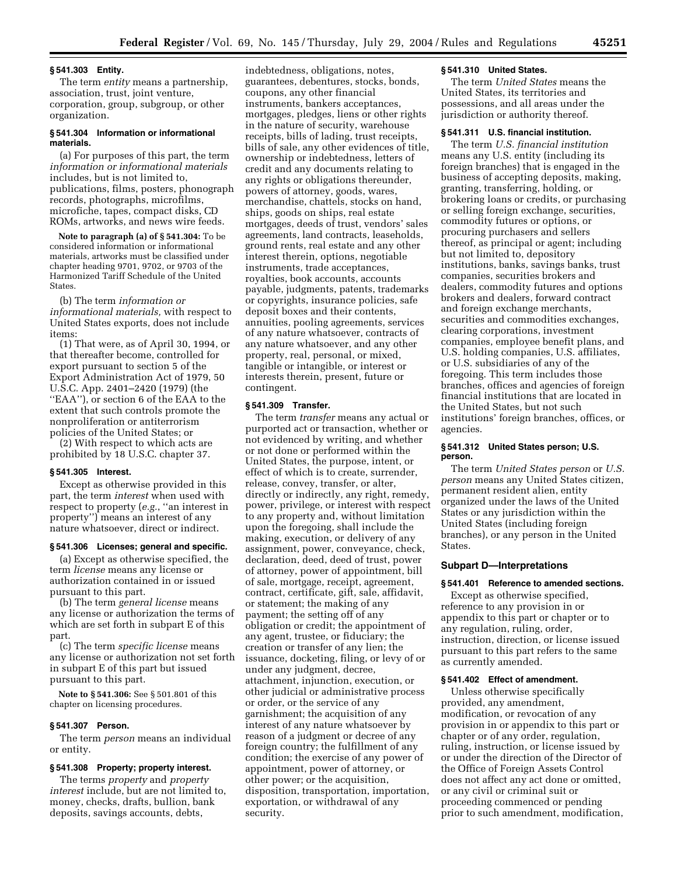#### **§ 541.303 Entity.**

The term *entity* means a partnership, association, trust, joint venture, corporation, group, subgroup, or other organization.

## **§ 541.304 Information or informational materials.**

(a) For purposes of this part, the term *information or informational materials* includes, but is not limited to, publications, films, posters, phonograph records, photographs, microfilms, microfiche, tapes, compact disks, CD ROMs, artworks, and news wire feeds.

**Note to paragraph (a) of § 541.304:** To be considered information or informational materials, artworks must be classified under chapter heading 9701, 9702, or 9703 of the Harmonized Tariff Schedule of the United States.

(b) The term *information or informational materials,* with respect to United States exports, does not include items:

(1) That were, as of April 30, 1994, or that thereafter become, controlled for export pursuant to section 5 of the Export Administration Act of 1979, 50 U.S.C. App. 2401–2420 (1979) (the ''EAA''), or section 6 of the EAA to the extent that such controls promote the nonproliferation or antiterrorism policies of the United States; or

(2) With respect to which acts are prohibited by 18 U.S.C. chapter 37.

## **§ 541.305 Interest.**

Except as otherwise provided in this part, the term *interest* when used with respect to property (*e.g.*, ''an interest in property'') means an interest of any nature whatsoever, direct or indirect.

# **§ 541.306 Licenses; general and specific.**

(a) Except as otherwise specified, the term *license* means any license or authorization contained in or issued pursuant to this part.

(b) The term *general license* means any license or authorization the terms of which are set forth in subpart E of this part.

(c) The term *specific license* means any license or authorization not set forth in subpart E of this part but issued pursuant to this part.

**Note to § 541.306:** See § 501.801 of this chapter on licensing procedures.

## **§ 541.307 Person.**

The term *person* means an individual or entity.

# **§ 541.308 Property; property interest.**

The terms *property* and *property interest* include, but are not limited to, money, checks, drafts, bullion, bank deposits, savings accounts, debts,

indebtedness, obligations, notes, guarantees, debentures, stocks, bonds, coupons, any other financial instruments, bankers acceptances, mortgages, pledges, liens or other rights in the nature of security, warehouse receipts, bills of lading, trust receipts, bills of sale, any other evidences of title, ownership or indebtedness, letters of credit and any documents relating to any rights or obligations thereunder, powers of attorney, goods, wares, merchandise, chattels, stocks on hand, ships, goods on ships, real estate mortgages, deeds of trust, vendors' sales agreements, land contracts, leaseholds, ground rents, real estate and any other interest therein, options, negotiable instruments, trade acceptances, royalties, book accounts, accounts payable, judgments, patents, trademarks or copyrights, insurance policies, safe deposit boxes and their contents, annuities, pooling agreements, services of any nature whatsoever, contracts of any nature whatsoever, and any other property, real, personal, or mixed, tangible or intangible, or interest or interests therein, present, future or contingent.

### **§ 541.309 Transfer.**

The term *transfer* means any actual or purported act or transaction, whether or not evidenced by writing, and whether or not done or performed within the United States, the purpose, intent, or effect of which is to create, surrender, release, convey, transfer, or alter, directly or indirectly, any right, remedy, power, privilege, or interest with respect to any property and, without limitation upon the foregoing, shall include the making, execution, or delivery of any assignment, power, conveyance, check, declaration, deed, deed of trust, power of attorney, power of appointment, bill of sale, mortgage, receipt, agreement, contract, certificate, gift, sale, affidavit, or statement; the making of any payment; the setting off of any obligation or credit; the appointment of any agent, trustee, or fiduciary; the creation or transfer of any lien; the issuance, docketing, filing, or levy of or under any judgment, decree, attachment, injunction, execution, or other judicial or administrative process or order, or the service of any garnishment; the acquisition of any interest of any nature whatsoever by reason of a judgment or decree of any foreign country; the fulfillment of any condition; the exercise of any power of appointment, power of attorney, or other power; or the acquisition, disposition, transportation, importation, exportation, or withdrawal of any security.

## **§ 541.310 United States.**

The term *United States* means the United States, its territories and possessions, and all areas under the jurisdiction or authority thereof.

## **§ 541.311 U.S. financial institution.**

The term *U.S. financial institution* means any U.S. entity (including its foreign branches) that is engaged in the business of accepting deposits, making, granting, transferring, holding, or brokering loans or credits, or purchasing or selling foreign exchange, securities, commodity futures or options, or procuring purchasers and sellers thereof, as principal or agent; including but not limited to, depository institutions, banks, savings banks, trust companies, securities brokers and dealers, commodity futures and options brokers and dealers, forward contract and foreign exchange merchants, securities and commodities exchanges, clearing corporations, investment companies, employee benefit plans, and U.S. holding companies, U.S. affiliates, or U.S. subsidiaries of any of the foregoing. This term includes those branches, offices and agencies of foreign financial institutions that are located in the United States, but not such institutions' foreign branches, offices, or agencies.

## **§ 541.312 United States person; U.S. person.**

The term *United States person* or *U.S. person* means any United States citizen, permanent resident alien, entity organized under the laws of the United States or any jurisdiction within the United States (including foreign branches), or any person in the United States.

## **Subpart D—Interpretations**

## **§ 541.401 Reference to amended sections.**

Except as otherwise specified, reference to any provision in or appendix to this part or chapter or to any regulation, ruling, order, instruction, direction, or license issued pursuant to this part refers to the same as currently amended.

## **§ 541.402 Effect of amendment.**

Unless otherwise specifically provided, any amendment, modification, or revocation of any provision in or appendix to this part or chapter or of any order, regulation, ruling, instruction, or license issued by or under the direction of the Director of the Office of Foreign Assets Control does not affect any act done or omitted, or any civil or criminal suit or proceeding commenced or pending prior to such amendment, modification,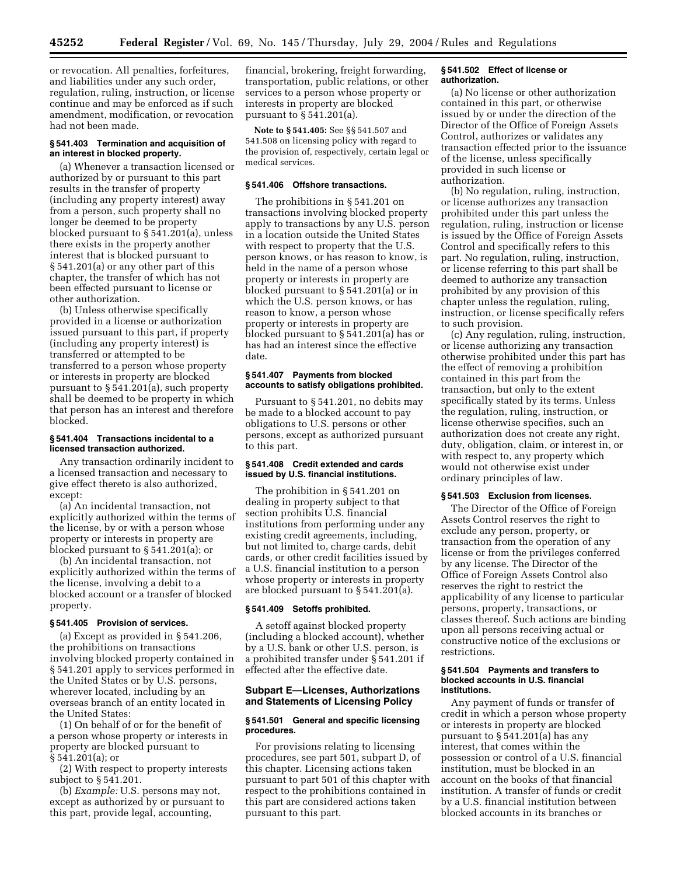or revocation. All penalties, forfeitures, and liabilities under any such order, regulation, ruling, instruction, or license continue and may be enforced as if such amendment, modification, or revocation had not been made.

## **§ 541.403 Termination and acquisition of an interest in blocked property.**

(a) Whenever a transaction licensed or authorized by or pursuant to this part results in the transfer of property (including any property interest) away from a person, such property shall no longer be deemed to be property blocked pursuant to § 541.201(a), unless there exists in the property another interest that is blocked pursuant to § 541.201(a) or any other part of this chapter, the transfer of which has not been effected pursuant to license or other authorization.

(b) Unless otherwise specifically provided in a license or authorization issued pursuant to this part, if property (including any property interest) is transferred or attempted to be transferred to a person whose property or interests in property are blocked pursuant to § 541.201(a), such property shall be deemed to be property in which that person has an interest and therefore blocked.

## **§ 541.404 Transactions incidental to a licensed transaction authorized.**

Any transaction ordinarily incident to a licensed transaction and necessary to give effect thereto is also authorized, except:

(a) An incidental transaction, not explicitly authorized within the terms of the license, by or with a person whose property or interests in property are blocked pursuant to § 541.201(a); or

(b) An incidental transaction, not explicitly authorized within the terms of the license, involving a debit to a blocked account or a transfer of blocked property.

#### **§ 541.405 Provision of services.**

(a) Except as provided in § 541.206, the prohibitions on transactions involving blocked property contained in § 541.201 apply to services performed in the United States or by U.S. persons, wherever located, including by an overseas branch of an entity located in the United States:

(1) On behalf of or for the benefit of a person whose property or interests in property are blocked pursuant to § 541.201(a); or

(2) With respect to property interests subject to § 541.201.

(b) *Example:* U.S. persons may not, except as authorized by or pursuant to this part, provide legal, accounting,

financial, brokering, freight forwarding, transportation, public relations, or other services to a person whose property or interests in property are blocked pursuant to § 541.201(a).

**Note to § 541.405:** See §§ 541.507 and 541.508 on licensing policy with regard to the provision of, respectively, certain legal or medical services.

### **§ 541.406 Offshore transactions.**

The prohibitions in § 541.201 on transactions involving blocked property apply to transactions by any U.S. person in a location outside the United States with respect to property that the U.S. person knows, or has reason to know, is held in the name of a person whose property or interests in property are blocked pursuant to § 541.201(a) or in which the U.S. person knows, or has reason to know, a person whose property or interests in property are blocked pursuant to § 541.201(a) has or has had an interest since the effective date.

### **§ 541.407 Payments from blocked accounts to satisfy obligations prohibited.**

Pursuant to § 541.201, no debits may be made to a blocked account to pay obligations to U.S. persons or other persons, except as authorized pursuant to this part.

## **§ 541.408 Credit extended and cards issued by U.S. financial institutions.**

The prohibition in § 541.201 on dealing in property subject to that section prohibits U.S. financial institutions from performing under any existing credit agreements, including, but not limited to, charge cards, debit cards, or other credit facilities issued by a U.S. financial institution to a person whose property or interests in property are blocked pursuant to § 541.201(a).

## **§ 541.409 Setoffs prohibited.**

A setoff against blocked property (including a blocked account), whether by a U.S. bank or other U.S. person, is a prohibited transfer under § 541.201 if effected after the effective date.

## **Subpart E—Licenses, Authorizations and Statements of Licensing Policy**

#### **§ 541.501 General and specific licensing procedures.**

For provisions relating to licensing procedures, see part 501, subpart D, of this chapter. Licensing actions taken pursuant to part 501 of this chapter with respect to the prohibitions contained in this part are considered actions taken pursuant to this part.

### **§ 541.502 Effect of license or authorization.**

(a) No license or other authorization contained in this part, or otherwise issued by or under the direction of the Director of the Office of Foreign Assets Control, authorizes or validates any transaction effected prior to the issuance of the license, unless specifically provided in such license or authorization.

(b) No regulation, ruling, instruction, or license authorizes any transaction prohibited under this part unless the regulation, ruling, instruction or license is issued by the Office of Foreign Assets Control and specifically refers to this part. No regulation, ruling, instruction, or license referring to this part shall be deemed to authorize any transaction prohibited by any provision of this chapter unless the regulation, ruling, instruction, or license specifically refers to such provision.

(c) Any regulation, ruling, instruction, or license authorizing any transaction otherwise prohibited under this part has the effect of removing a prohibition contained in this part from the transaction, but only to the extent specifically stated by its terms. Unless the regulation, ruling, instruction, or license otherwise specifies, such an authorization does not create any right, duty, obligation, claim, or interest in, or with respect to, any property which would not otherwise exist under ordinary principles of law.

## **§ 541.503 Exclusion from licenses.**

The Director of the Office of Foreign Assets Control reserves the right to exclude any person, property, or transaction from the operation of any license or from the privileges conferred by any license. The Director of the Office of Foreign Assets Control also reserves the right to restrict the applicability of any license to particular persons, property, transactions, or classes thereof. Such actions are binding upon all persons receiving actual or constructive notice of the exclusions or restrictions.

### **§ 541.504 Payments and transfers to blocked accounts in U.S. financial institutions.**

Any payment of funds or transfer of credit in which a person whose property or interests in property are blocked pursuant to § 541.201(a) has any interest, that comes within the possession or control of a U.S. financial institution, must be blocked in an account on the books of that financial institution. A transfer of funds or credit by a U.S. financial institution between blocked accounts in its branches or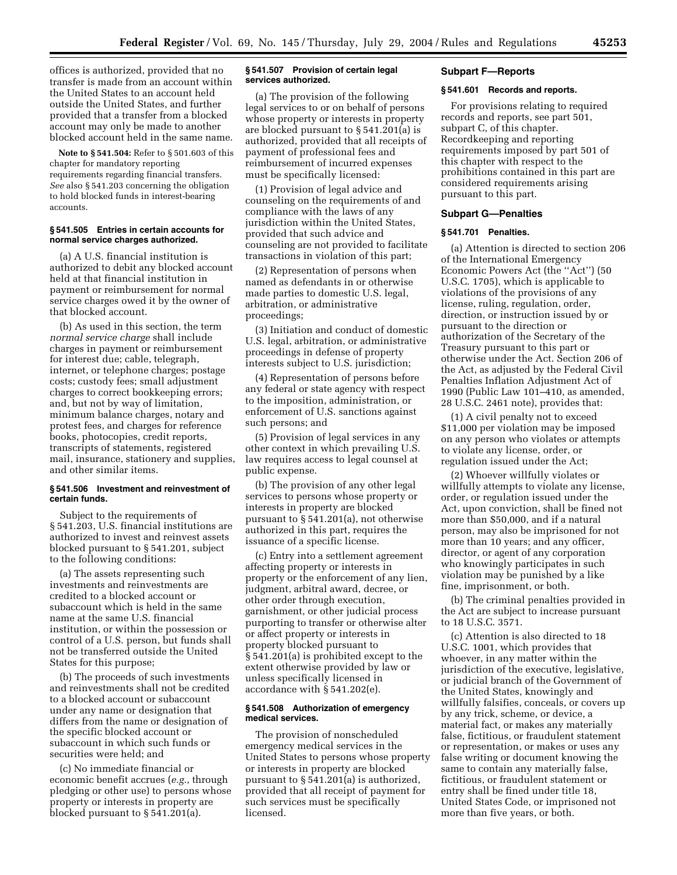offices is authorized, provided that no transfer is made from an account within the United States to an account held outside the United States, and further provided that a transfer from a blocked account may only be made to another blocked account held in the same name.

**Note to § 541.504:** Refer to § 501.603 of this chapter for mandatory reporting requirements regarding financial transfers. *See* also § 541.203 concerning the obligation to hold blocked funds in interest-bearing accounts.

### **§ 541.505 Entries in certain accounts for normal service charges authorized.**

(a) A U.S. financial institution is authorized to debit any blocked account held at that financial institution in payment or reimbursement for normal service charges owed it by the owner of that blocked account.

(b) As used in this section, the term *normal service charge* shall include charges in payment or reimbursement for interest due; cable, telegraph, internet, or telephone charges; postage costs; custody fees; small adjustment charges to correct bookkeeping errors; and, but not by way of limitation, minimum balance charges, notary and protest fees, and charges for reference books, photocopies, credit reports, transcripts of statements, registered mail, insurance, stationery and supplies, and other similar items.

#### **§ 541.506 Investment and reinvestment of certain funds.**

Subject to the requirements of § 541.203, U.S. financial institutions are authorized to invest and reinvest assets blocked pursuant to § 541.201, subject to the following conditions:

(a) The assets representing such investments and reinvestments are credited to a blocked account or subaccount which is held in the same name at the same U.S. financial institution, or within the possession or control of a U.S. person, but funds shall not be transferred outside the United States for this purpose;

(b) The proceeds of such investments and reinvestments shall not be credited to a blocked account or subaccount under any name or designation that differs from the name or designation of the specific blocked account or subaccount in which such funds or securities were held; and

(c) No immediate financial or economic benefit accrues (*e.g.*, through pledging or other use) to persons whose property or interests in property are blocked pursuant to § 541.201(a).

## **§ 541.507 Provision of certain legal services authorized.**

(a) The provision of the following legal services to or on behalf of persons whose property or interests in property are blocked pursuant to § 541.201(a) is authorized, provided that all receipts of payment of professional fees and reimbursement of incurred expenses must be specifically licensed:

(1) Provision of legal advice and counseling on the requirements of and compliance with the laws of any jurisdiction within the United States, provided that such advice and counseling are not provided to facilitate transactions in violation of this part;

(2) Representation of persons when named as defendants in or otherwise made parties to domestic U.S. legal, arbitration, or administrative proceedings;

(3) Initiation and conduct of domestic U.S. legal, arbitration, or administrative proceedings in defense of property interests subject to U.S. jurisdiction;

(4) Representation of persons before any federal or state agency with respect to the imposition, administration, or enforcement of U.S. sanctions against such persons; and

(5) Provision of legal services in any other context in which prevailing U.S. law requires access to legal counsel at public expense.

(b) The provision of any other legal services to persons whose property or interests in property are blocked pursuant to § 541.201(a), not otherwise authorized in this part, requires the issuance of a specific license.

(c) Entry into a settlement agreement affecting property or interests in property or the enforcement of any lien, judgment, arbitral award, decree, or other order through execution, garnishment, or other judicial process purporting to transfer or otherwise alter or affect property or interests in property blocked pursuant to § 541.201(a) is prohibited except to the extent otherwise provided by law or unless specifically licensed in accordance with § 541.202(e).

### **§ 541.508 Authorization of emergency medical services.**

The provision of nonscheduled emergency medical services in the United States to persons whose property or interests in property are blocked pursuant to § 541.201(a) is authorized, provided that all receipt of payment for such services must be specifically licensed.

#### **Subpart F—Reports**

## **§ 541.601 Records and reports.**

For provisions relating to required records and reports, see part 501, subpart C, of this chapter. Recordkeeping and reporting requirements imposed by part 501 of this chapter with respect to the prohibitions contained in this part are considered requirements arising pursuant to this part.

#### **Subpart G—Penalties**

#### **§ 541.701 Penalties.**

(a) Attention is directed to section 206 of the International Emergency Economic Powers Act (the ''Act'') (50 U.S.C. 1705), which is applicable to violations of the provisions of any license, ruling, regulation, order, direction, or instruction issued by or pursuant to the direction or authorization of the Secretary of the Treasury pursuant to this part or otherwise under the Act. Section 206 of the Act, as adjusted by the Federal Civil Penalties Inflation Adjustment Act of 1990 (Public Law 101–410, as amended, 28 U.S.C. 2461 note), provides that:

(1) A civil penalty not to exceed \$11,000 per violation may be imposed on any person who violates or attempts to violate any license, order, or regulation issued under the Act;

(2) Whoever willfully violates or willfully attempts to violate any license, order, or regulation issued under the Act, upon conviction, shall be fined not more than \$50,000, and if a natural person, may also be imprisoned for not more than 10 years; and any officer, director, or agent of any corporation who knowingly participates in such violation may be punished by a like fine, imprisonment, or both.

(b) The criminal penalties provided in the Act are subject to increase pursuant to 18 U.S.C. 3571.

(c) Attention is also directed to 18 U.S.C. 1001, which provides that whoever, in any matter within the jurisdiction of the executive, legislative, or judicial branch of the Government of the United States, knowingly and willfully falsifies, conceals, or covers up by any trick, scheme, or device, a material fact, or makes any materially false, fictitious, or fraudulent statement or representation, or makes or uses any false writing or document knowing the same to contain any materially false, fictitious, or fraudulent statement or entry shall be fined under title 18, United States Code, or imprisoned not more than five years, or both.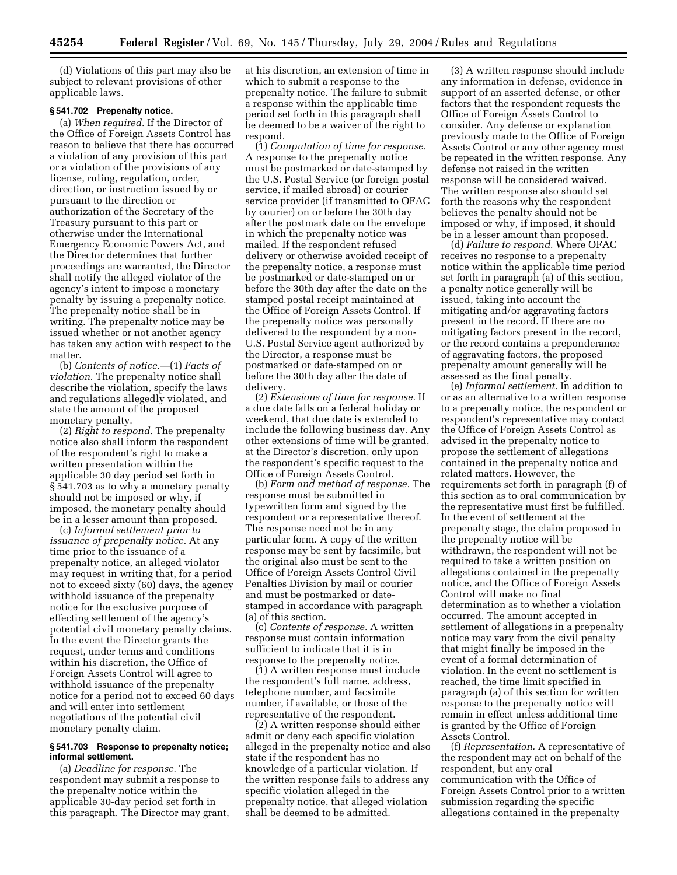(d) Violations of this part may also be subject to relevant provisions of other applicable laws.

## **§ 541.702 Prepenalty notice.**

(a) *When required.* If the Director of the Office of Foreign Assets Control has reason to believe that there has occurred a violation of any provision of this part or a violation of the provisions of any license, ruling, regulation, order, direction, or instruction issued by or pursuant to the direction or authorization of the Secretary of the Treasury pursuant to this part or otherwise under the International Emergency Economic Powers Act, and the Director determines that further proceedings are warranted, the Director shall notify the alleged violator of the agency's intent to impose a monetary penalty by issuing a prepenalty notice. The prepenalty notice shall be in writing. The prepenalty notice may be issued whether or not another agency has taken any action with respect to the matter.

(b) *Contents of notice.*—(1) *Facts of violation.* The prepenalty notice shall describe the violation, specify the laws and regulations allegedly violated, and state the amount of the proposed monetary penalty.

(2) *Right to respond.* The prepenalty notice also shall inform the respondent of the respondent's right to make a written presentation within the applicable 30 day period set forth in § 541.703 as to why a monetary penalty should not be imposed or why, if imposed, the monetary penalty should be in a lesser amount than proposed.

(c) *Informal settlement prior to issuance of prepenalty notice.* At any time prior to the issuance of a prepenalty notice, an alleged violator may request in writing that, for a period not to exceed sixty (60) days, the agency withhold issuance of the prepenalty notice for the exclusive purpose of effecting settlement of the agency's potential civil monetary penalty claims. In the event the Director grants the request, under terms and conditions within his discretion, the Office of Foreign Assets Control will agree to withhold issuance of the prepenalty notice for a period not to exceed 60 days and will enter into settlement negotiations of the potential civil monetary penalty claim.

## **§ 541.703 Response to prepenalty notice; informal settlement.**

(a) *Deadline for response.* The respondent may submit a response to the prepenalty notice within the applicable 30-day period set forth in this paragraph. The Director may grant, at his discretion, an extension of time in which to submit a response to the prepenalty notice. The failure to submit a response within the applicable time period set forth in this paragraph shall be deemed to be a waiver of the right to respond.

(1) *Computation of time for response.* A response to the prepenalty notice must be postmarked or date-stamped by the U.S. Postal Service (or foreign postal service, if mailed abroad) or courier service provider (if transmitted to OFAC by courier) on or before the 30th day after the postmark date on the envelope in which the prepenalty notice was mailed. If the respondent refused delivery or otherwise avoided receipt of the prepenalty notice, a response must be postmarked or date-stamped on or before the 30th day after the date on the stamped postal receipt maintained at the Office of Foreign Assets Control. If the prepenalty notice was personally delivered to the respondent by a non-U.S. Postal Service agent authorized by the Director, a response must be postmarked or date-stamped on or before the 30th day after the date of delivery.

(2) *Extensions of time for response.* If a due date falls on a federal holiday or weekend, that due date is extended to include the following business day. Any other extensions of time will be granted, at the Director's discretion, only upon the respondent's specific request to the Office of Foreign Assets Control.

(b) *Form and method of response.* The response must be submitted in typewritten form and signed by the respondent or a representative thereof. The response need not be in any particular form. A copy of the written response may be sent by facsimile, but the original also must be sent to the Office of Foreign Assets Control Civil Penalties Division by mail or courier and must be postmarked or datestamped in accordance with paragraph (a) of this section.

(c) *Contents of response.* A written response must contain information sufficient to indicate that it is in response to the prepenalty notice.

(1) A written response must include the respondent's full name, address, telephone number, and facsimile number, if available, or those of the representative of the respondent.

(2) A written response should either admit or deny each specific violation alleged in the prepenalty notice and also state if the respondent has no knowledge of a particular violation. If the written response fails to address any specific violation alleged in the prepenalty notice, that alleged violation shall be deemed to be admitted.

(3) A written response should include any information in defense, evidence in support of an asserted defense, or other factors that the respondent requests the Office of Foreign Assets Control to consider. Any defense or explanation previously made to the Office of Foreign Assets Control or any other agency must be repeated in the written response. Any defense not raised in the written response will be considered waived. The written response also should set forth the reasons why the respondent believes the penalty should not be imposed or why, if imposed, it should be in a lesser amount than proposed.

(d) *Failure to respond.* Where OFAC receives no response to a prepenalty notice within the applicable time period set forth in paragraph (a) of this section, a penalty notice generally will be issued, taking into account the mitigating and/or aggravating factors present in the record. If there are no mitigating factors present in the record, or the record contains a preponderance of aggravating factors, the proposed prepenalty amount generally will be assessed as the final penalty.

(e) *Informal settlement.* In addition to or as an alternative to a written response to a prepenalty notice, the respondent or respondent's representative may contact the Office of Foreign Assets Control as advised in the prepenalty notice to propose the settlement of allegations contained in the prepenalty notice and related matters. However, the requirements set forth in paragraph (f) of this section as to oral communication by the representative must first be fulfilled. In the event of settlement at the prepenalty stage, the claim proposed in the prepenalty notice will be withdrawn, the respondent will not be required to take a written position on allegations contained in the prepenalty notice, and the Office of Foreign Assets Control will make no final determination as to whether a violation occurred. The amount accepted in settlement of allegations in a prepenalty notice may vary from the civil penalty that might finally be imposed in the event of a formal determination of violation. In the event no settlement is reached, the time limit specified in paragraph (a) of this section for written response to the prepenalty notice will remain in effect unless additional time is granted by the Office of Foreign Assets Control.

(f) *Representation.* A representative of the respondent may act on behalf of the respondent, but any oral communication with the Office of Foreign Assets Control prior to a written submission regarding the specific allegations contained in the prepenalty